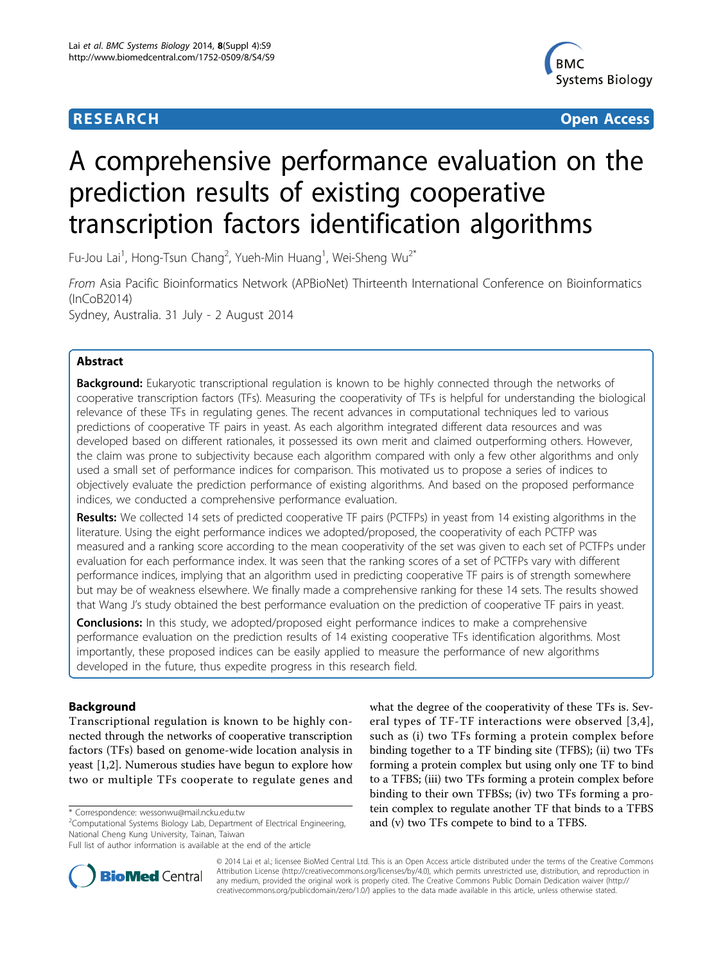

**RESEARCH CONSTRUCTION CONTROL** 

# A comprehensive performance evaluation on the prediction results of existing cooperative transcription factors identification algorithms

Fu-Jou Lai<sup>1</sup>, Hong-Tsun Chang<sup>2</sup>, Yueh-Min Huang<sup>1</sup>, Wei-Sheng Wu<sup>2\*</sup>

From Asia Pacific Bioinformatics Network (APBioNet) Thirteenth International Conference on Bioinformatics (InCoB2014)

Sydney, Australia. 31 July - 2 August 2014

# Abstract

**Background:** Eukaryotic transcriptional regulation is known to be highly connected through the networks of cooperative transcription factors (TFs). Measuring the cooperativity of TFs is helpful for understanding the biological relevance of these TFs in regulating genes. The recent advances in computational techniques led to various predictions of cooperative TF pairs in yeast. As each algorithm integrated different data resources and was developed based on different rationales, it possessed its own merit and claimed outperforming others. However, the claim was prone to subjectivity because each algorithm compared with only a few other algorithms and only used a small set of performance indices for comparison. This motivated us to propose a series of indices to objectively evaluate the prediction performance of existing algorithms. And based on the proposed performance indices, we conducted a comprehensive performance evaluation.

Results: We collected 14 sets of predicted cooperative TF pairs (PCTFPs) in yeast from 14 existing algorithms in the literature. Using the eight performance indices we adopted/proposed, the cooperativity of each PCTFP was measured and a ranking score according to the mean cooperativity of the set was given to each set of PCTFPs under evaluation for each performance index. It was seen that the ranking scores of a set of PCTFPs vary with different performance indices, implying that an algorithm used in predicting cooperative TF pairs is of strength somewhere but may be of weakness elsewhere. We finally made a comprehensive ranking for these 14 sets. The results showed that Wang J's study obtained the best performance evaluation on the prediction of cooperative TF pairs in yeast.

**Conclusions:** In this study, we adopted/proposed eight performance indices to make a comprehensive performance evaluation on the prediction results of 14 existing cooperative TFs identification algorithms. Most importantly, these proposed indices can be easily applied to measure the performance of new algorithms developed in the future, thus expedite progress in this research field.

# Background

Transcriptional regulation is known to be highly connected through the networks of cooperative transcription factors (TFs) based on genome-wide location analysis in yeast [[1,2\]](#page-7-0). Numerous studies have begun to explore how two or multiple TFs cooperate to regulate genes and

\* Correspondence: [wessonwu@mail.ncku.edu.tw](mailto:wessonwu@mail.ncku.edu.tw)

<sup>2</sup>Computational Systems Biology Lab, Department of Electrical Engineering, National Cheng Kung University, Tainan, Taiwan

what the degree of the cooperativity of these TFs is. Several types of TF-TF interactions were observed [[3](#page-7-0),[4\]](#page-7-0), such as (i) two TFs forming a protein complex before binding together to a TF binding site (TFBS); (ii) two TFs forming a protein complex but using only one TF to bind to a TFBS; (iii) two TFs forming a protein complex before binding to their own TFBSs; (iv) two TFs forming a protein complex to regulate another TF that binds to a TFBS and (v) two TFs compete to bind to a TFBS.



© 2014 Lai et al.; licensee BioMed Central Ltd. This is an Open Access article distributed under the terms of the Creative Commons Attribution License [\(http://creativecommons.org/licenses/by/4.0](http://creativecommons.org/licenses/by/4.0)), which permits unrestricted use, distribution, and reproduction in any medium, provided the original work is properly cited. The Creative Commons Public Domain Dedication waiver [\(http://](http://creativecommons.org/publicdomain/zero/1.0/) [creativecommons.org/publicdomain/zero/1.0/](http://creativecommons.org/publicdomain/zero/1.0/)) applies to the data made available in this article, unless otherwise stated.

Full list of author information is available at the end of the article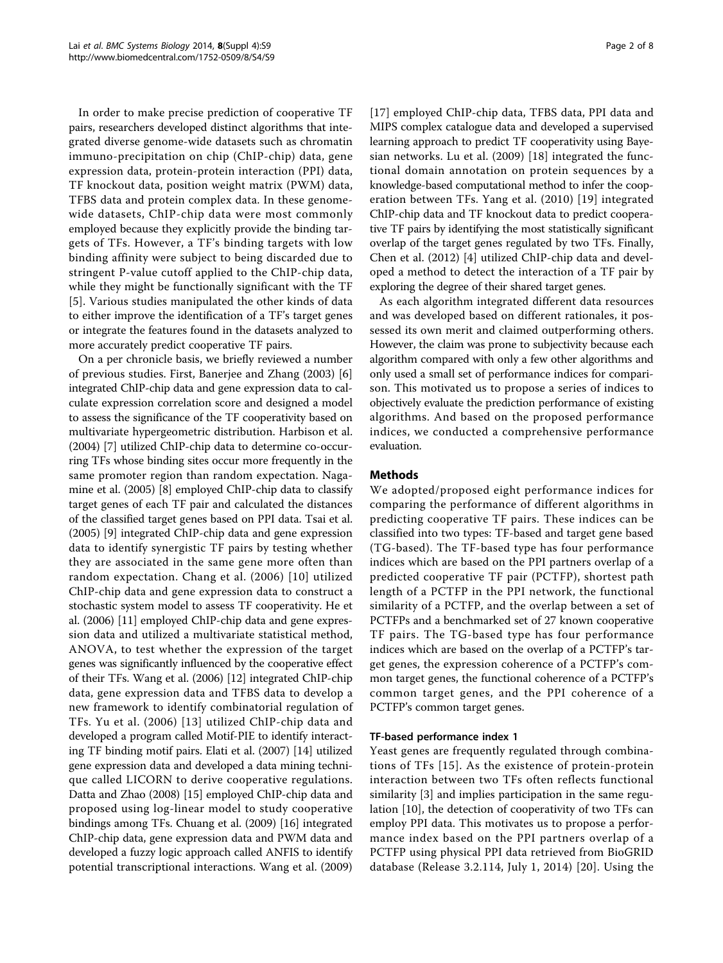In order to make precise prediction of cooperative TF pairs, researchers developed distinct algorithms that integrated diverse genome-wide datasets such as chromatin immuno-precipitation on chip (ChIP-chip) data, gene expression data, protein-protein interaction (PPI) data, TF knockout data, position weight matrix (PWM) data, TFBS data and protein complex data. In these genomewide datasets, ChIP-chip data were most commonly employed because they explicitly provide the binding targets of TFs. However, a TF's binding targets with low binding affinity were subject to being discarded due to stringent P-value cutoff applied to the ChIP-chip data, while they might be functionally significant with the TF [[5\]](#page-7-0). Various studies manipulated the other kinds of data to either improve the identification of a TF's target genes or integrate the features found in the datasets analyzed to more accurately predict cooperative TF pairs.

On a per chronicle basis, we briefly reviewed a number of previous studies. First, Banerjee and Zhang (2003) [\[6](#page-7-0)] integrated ChIP-chip data and gene expression data to calculate expression correlation score and designed a model to assess the significance of the TF cooperativity based on multivariate hypergeometric distribution. Harbison et al. (2004) [\[7](#page-7-0)] utilized ChIP-chip data to determine co-occurring TFs whose binding sites occur more frequently in the same promoter region than random expectation. Nagamine et al. (2005) [[8\]](#page-7-0) employed ChIP-chip data to classify target genes of each TF pair and calculated the distances of the classified target genes based on PPI data. Tsai et al. (2005) [[9](#page-7-0)] integrated ChIP-chip data and gene expression data to identify synergistic TF pairs by testing whether they are associated in the same gene more often than random expectation. Chang et al. (2006) [[10](#page-7-0)] utilized ChIP-chip data and gene expression data to construct a stochastic system model to assess TF cooperativity. He et al. (2006) [\[11\]](#page-7-0) employed ChIP-chip data and gene expression data and utilized a multivariate statistical method, ANOVA, to test whether the expression of the target genes was significantly influenced by the cooperative effect of their TFs. Wang et al. (2006) [\[12\]](#page-7-0) integrated ChIP-chip data, gene expression data and TFBS data to develop a new framework to identify combinatorial regulation of TFs. Yu et al. (2006) [[13](#page-7-0)] utilized ChIP-chip data and developed a program called Motif-PIE to identify interacting TF binding motif pairs. Elati et al. (2007) [[14\]](#page-7-0) utilized gene expression data and developed a data mining technique called LICORN to derive cooperative regulations. Datta and Zhao (2008) [\[15](#page-7-0)] employed ChIP-chip data and proposed using log-linear model to study cooperative bindings among TFs. Chuang et al. (2009) [[16\]](#page-7-0) integrated ChIP-chip data, gene expression data and PWM data and developed a fuzzy logic approach called ANFIS to identify potential transcriptional interactions. Wang et al. (2009) [[17](#page-7-0)] employed ChIP-chip data, TFBS data, PPI data and MIPS complex catalogue data and developed a supervised learning approach to predict TF cooperativity using Bayesian networks. Lu et al. (2009) [\[18\]](#page-7-0) integrated the functional domain annotation on protein sequences by a knowledge-based computational method to infer the cooperation between TFs. Yang et al. (2010) [[19](#page-7-0)] integrated ChIP-chip data and TF knockout data to predict cooperative TF pairs by identifying the most statistically significant overlap of the target genes regulated by two TFs. Finally, Chen et al. (2012) [[4](#page-7-0)] utilized ChIP-chip data and developed a method to detect the interaction of a TF pair by exploring the degree of their shared target genes.

As each algorithm integrated different data resources and was developed based on different rationales, it possessed its own merit and claimed outperforming others. However, the claim was prone to subjectivity because each algorithm compared with only a few other algorithms and only used a small set of performance indices for comparison. This motivated us to propose a series of indices to objectively evaluate the prediction performance of existing algorithms. And based on the proposed performance indices, we conducted a comprehensive performance evaluation.

# Methods

We adopted/proposed eight performance indices for comparing the performance of different algorithms in predicting cooperative TF pairs. These indices can be classified into two types: TF-based and target gene based (TG-based). The TF-based type has four performance indices which are based on the PPI partners overlap of a predicted cooperative TF pair (PCTFP), shortest path length of a PCTFP in the PPI network, the functional similarity of a PCTFP, and the overlap between a set of PCTFPs and a benchmarked set of 27 known cooperative TF pairs. The TG-based type has four performance indices which are based on the overlap of a PCTFP's target genes, the expression coherence of a PCTFP's common target genes, the functional coherence of a PCTFP's common target genes, and the PPI coherence of a PCTFP's common target genes.

#### TF-based performance index 1

Yeast genes are frequently regulated through combinations of TFs [[15](#page-7-0)]. As the existence of protein-protein interaction between two TFs often reflects functional similarity [\[3](#page-7-0)] and implies participation in the same regulation [\[10](#page-7-0)], the detection of cooperativity of two TFs can employ PPI data. This motivates us to propose a performance index based on the PPI partners overlap of a PCTFP using physical PPI data retrieved from BioGRID database (Release 3.2.114, July 1, 2014) [\[20\]](#page-7-0). Using the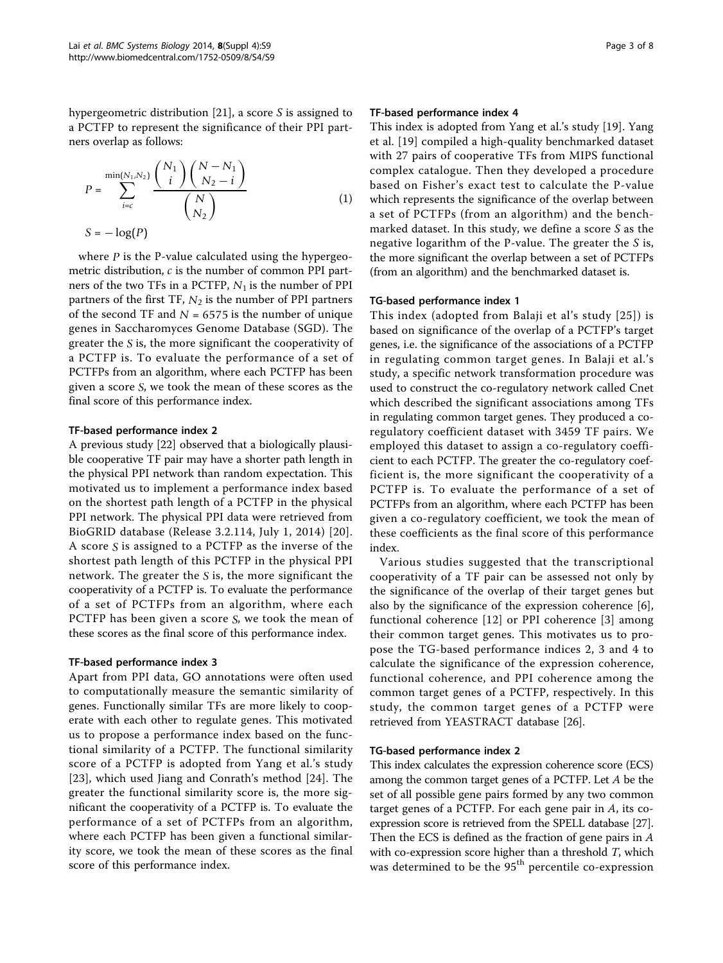hypergeometric distribution [[21\]](#page-7-0), a score S is assigned to a PCTFP to represent the significance of their PPI partners overlap as follows:

$$
P = \sum_{i=c}^{\min(N_1, N_2)} \frac{\binom{N_1}{i} \binom{N - N_1}{N_2 - i}}{\binom{N}{N_2}}
$$
  

$$
S = -\log(P)
$$
 (1)

where *P* is the P-value calculated using the hypergeometric distribution, *c* is the number of common PPI partners of the two TFs in a PCTFP, *N*<sup>1</sup> is the number of PPI partners of the first TF, *N*<sup>2</sup> is the number of PPI partners of the second TF and  $N = 6575$  is the number of unique genes in Saccharomyces Genome Database (SGD). The greater the *S* is, the more significant the cooperativity of a PCTFP is. To evaluate the performance of a set of PCTFPs from an algorithm, where each PCTFP has been given a score *S*, we took the mean of these scores as the final score of this performance index.

#### TF-based performance index 2

A previous study [\[22](#page-7-0)] observed that a biologically plausible cooperative TF pair may have a shorter path length in the physical PPI network than random expectation. This motivated us to implement a performance index based on the shortest path length of a PCTFP in the physical PPI network. The physical PPI data were retrieved from BioGRID database (Release 3.2.114, July 1, 2014) [[20\]](#page-7-0). A score *S* is assigned to a PCTFP as the inverse of the shortest path length of this PCTFP in the physical PPI network. The greater the *S* is, the more significant the cooperativity of a PCTFP is. To evaluate the performance of a set of PCTFPs from an algorithm, where each PCTFP has been given a score *S*, we took the mean of these scores as the final score of this performance index.

#### TF-based performance index 3

Apart from PPI data, GO annotations were often used to computationally measure the semantic similarity of genes. Functionally similar TFs are more likely to cooperate with each other to regulate genes. This motivated us to propose a performance index based on the functional similarity of a PCTFP. The functional similarity score of a PCTFP is adopted from Yang et al.'s study [[23](#page-7-0)], which used Jiang and Conrath's method [\[24](#page-7-0)]. The greater the functional similarity score is, the more significant the cooperativity of a PCTFP is. To evaluate the performance of a set of PCTFPs from an algorithm, where each PCTFP has been given a functional similarity score, we took the mean of these scores as the final score of this performance index.

#### TF-based performance index 4

This index is adopted from Yang et al.'s study [[19\]](#page-7-0). Yang et al. [[19](#page-7-0)] compiled a high-quality benchmarked dataset with 27 pairs of cooperative TFs from MIPS functional complex catalogue. Then they developed a procedure based on Fisher's exact test to calculate the P-value which represents the significance of the overlap between a set of PCTFPs (from an algorithm) and the benchmarked dataset. In this study, we define a score S as the negative logarithm of the P-value. The greater the S is, the more significant the overlap between a set of PCTFPs (from an algorithm) and the benchmarked dataset is.

#### TG-based performance index 1

This index (adopted from Balaji et al's study [[25](#page-7-0)]) is based on significance of the overlap of a PCTFP's target genes, i.e. the significance of the associations of a PCTFP in regulating common target genes. In Balaji et al.'s study, a specific network transformation procedure was used to construct the co-regulatory network called Cnet which described the significant associations among TFs in regulating common target genes. They produced a coregulatory coefficient dataset with 3459 TF pairs. We employed this dataset to assign a co-regulatory coefficient to each PCTFP. The greater the co-regulatory coefficient is, the more significant the cooperativity of a PCTFP is. To evaluate the performance of a set of PCTFPs from an algorithm, where each PCTFP has been given a co-regulatory coefficient, we took the mean of these coefficients as the final score of this performance index.

Various studies suggested that the transcriptional cooperativity of a TF pair can be assessed not only by the significance of the overlap of their target genes but also by the significance of the expression coherence [\[6](#page-7-0)], functional coherence [[12\]](#page-7-0) or PPI coherence [\[3](#page-7-0)] among their common target genes. This motivates us to propose the TG-based performance indices 2, 3 and 4 to calculate the significance of the expression coherence, functional coherence, and PPI coherence among the common target genes of a PCTFP, respectively. In this study, the common target genes of a PCTFP were retrieved from YEASTRACT database [\[26\]](#page-7-0).

#### TG-based performance index 2

This index calculates the expression coherence score (ECS) among the common target genes of a PCTFP. Let A be the set of all possible gene pairs formed by any two common target genes of a PCTFP. For each gene pair in A, its coexpression score is retrieved from the SPELL database [\[27](#page-7-0)]. Then the ECS is defined as the fraction of gene pairs in A with co-expression score higher than a threshold  $T$ , which was determined to be the 95<sup>th</sup> percentile co-expression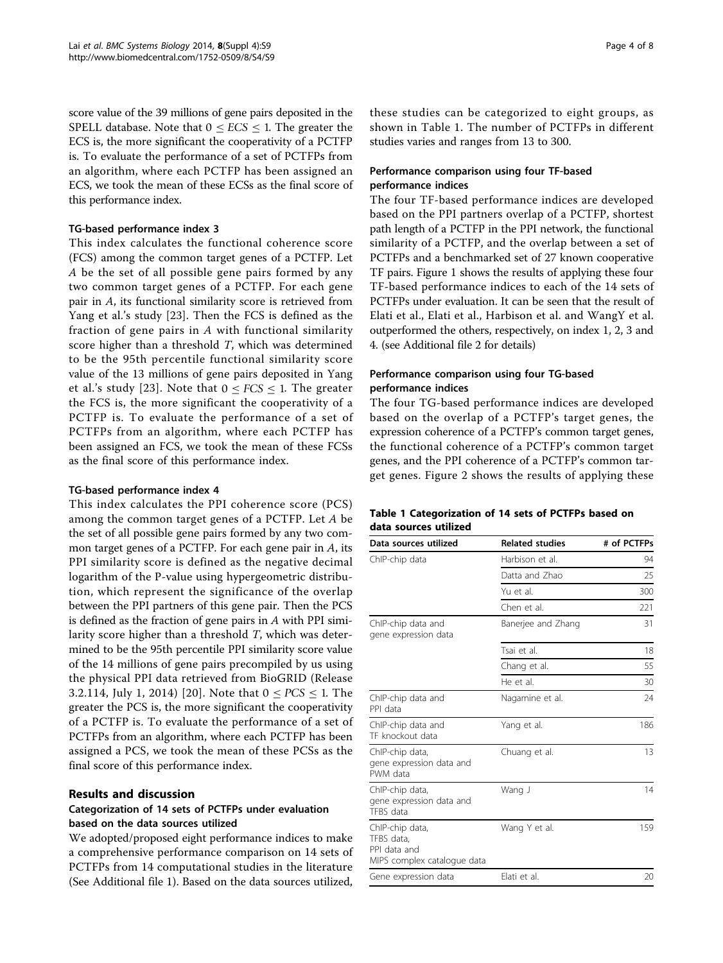score value of the 39 millions of gene pairs deposited in the SPELL database. Note that  $0 \leq ECS \leq 1$ . The greater the ECS is, the more significant the cooperativity of a PCTFP is. To evaluate the performance of a set of PCTFPs from an algorithm, where each PCTFP has been assigned an ECS, we took the mean of these ECSs as the final score of this performance index.

#### TG-based performance index 3

This index calculates the functional coherence score (FCS) among the common target genes of a PCTFP. Let A be the set of all possible gene pairs formed by any two common target genes of a PCTFP. For each gene pair in A, its functional similarity score is retrieved from Yang et al.'s study [[23](#page-7-0)]. Then the FCS is defined as the fraction of gene pairs in A with functional similarity score higher than a threshold T, which was determined to be the 95th percentile functional similarity score value of the 13 millions of gene pairs deposited in Yang et al.'s study [[23](#page-7-0)]. Note that  $0 \leq FCS \leq 1$ . The greater the FCS is, the more significant the cooperativity of a PCTFP is. To evaluate the performance of a set of PCTFPs from an algorithm, where each PCTFP has been assigned an FCS, we took the mean of these FCSs as the final score of this performance index.

# TG-based performance index 4

This index calculates the PPI coherence score (PCS) among the common target genes of a PCTFP. Let A be the set of all possible gene pairs formed by any two common target genes of a PCTFP. For each gene pair in A, its PPI similarity score is defined as the negative decimal logarithm of the P-value using hypergeometric distribution, which represent the significance of the overlap between the PPI partners of this gene pair. Then the PCS is defined as the fraction of gene pairs in A with PPI similarity score higher than a threshold T, which was determined to be the 95th percentile PPI similarity score value of the 14 millions of gene pairs precompiled by us using the physical PPI data retrieved from BioGRID (Release 3.2.114, July 1, 2014) [[20\]](#page-7-0). Note that  $0 \leq PCS \leq 1$ . The greater the PCS is, the more significant the cooperativity of a PCTFP is. To evaluate the performance of a set of PCTFPs from an algorithm, where each PCTFP has been assigned a PCS, we took the mean of these PCSs as the final score of this performance index.

# Results and discussion

# Categorization of 14 sets of PCTFPs under evaluation based on the data sources utilized

We adopted/proposed eight performance indices to make a comprehensive performance comparison on 14 sets of PCTFPs from 14 computational studies in the literature (See Additional file [1](#page-6-0)). Based on the data sources utilized,

these studies can be categorized to eight groups, as shown in Table 1. The number of PCTFPs in different studies varies and ranges from 13 to 300.

# Performance comparison using four TF-based performance indices

The four TF-based performance indices are developed based on the PPI partners overlap of a PCTFP, shortest path length of a PCTFP in the PPI network, the functional similarity of a PCTFP, and the overlap between a set of PCTFPs and a benchmarked set of 27 known cooperative TF pairs. Figure [1](#page-4-0) shows the results of applying these four TF-based performance indices to each of the 14 sets of PCTFPs under evaluation. It can be seen that the result of Elati et al., Elati et al., Harbison et al. and WangY et al. outperformed the others, respectively, on index 1, 2, 3 and 4. (see Additional file [2](#page-7-0) for details)

# Performance comparison using four TG-based performance indices

The four TG-based performance indices are developed based on the overlap of a PCTFP's target genes, the expression coherence of a PCTFP's common target genes, the functional coherence of a PCTFP's common target genes, and the PPI coherence of a PCTFP's common target genes. Figure [2](#page-4-0) shows the results of applying these

# Table 1 Categorization of 14 sets of PCTFPs based on data sources utilized

| Data sources utilized                                                        | <b>Related studies</b> | # of PCTFPs |
|------------------------------------------------------------------------------|------------------------|-------------|
| ChIP-chip data                                                               | Harbison et al.        | 94          |
|                                                                              | Datta and Zhao         | 25          |
|                                                                              | Yu et al.              | 300         |
|                                                                              | Chen et al.            | 221         |
| ChIP-chip data and<br>gene expression data                                   | Banerjee and Zhang     | 31          |
|                                                                              | Tsai et al.            | 18          |
|                                                                              | Chang et al.           | 55          |
|                                                                              | He et al.              | 30          |
| ChIP-chip data and<br>PPI data                                               | Nagamine et al.        | 24          |
| ChIP-chip data and<br>TF knockout data                                       | Yang et al.            | 186         |
| ChIP-chip data,<br>gene expression data and<br>PWM data                      | Chuang et al.          | 13          |
| ChIP-chip data,<br>gene expression data and<br>TFBS data                     | Wang J                 | 14          |
| ChIP-chip data,<br>TFBS data.<br>PPI data and<br>MIPS complex catalogue data | Wang Y et al.          | 159         |
| Gene expression data                                                         | Elati et al.           | 20          |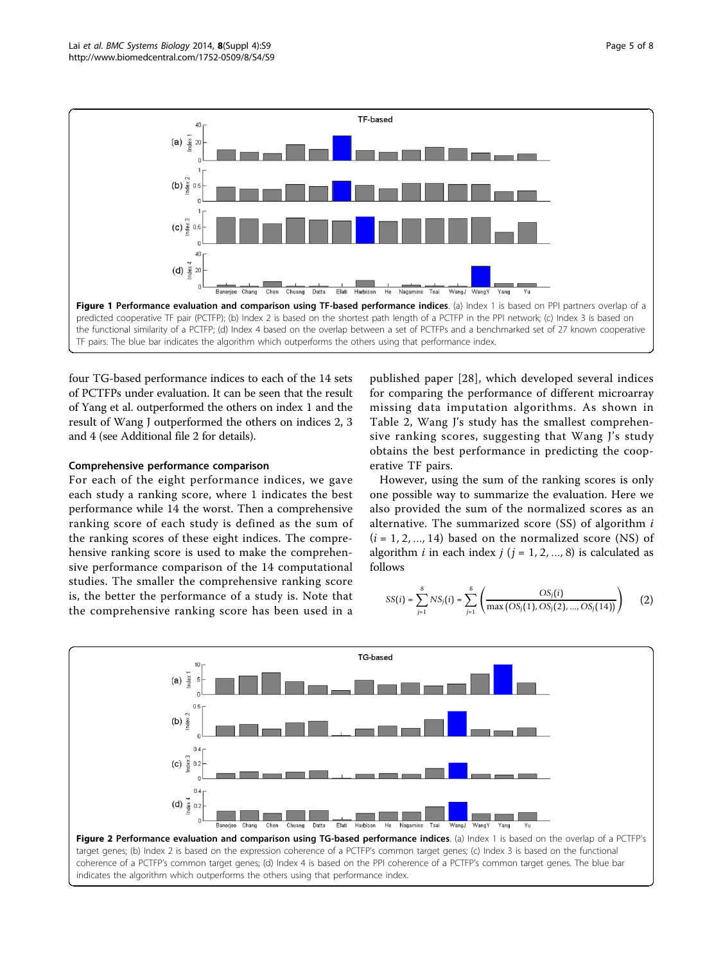<span id="page-4-0"></span>

four TG-based performance indices to each of the 14 sets of PCTFPs under evaluation. It can be seen that the result of Yang et al. outperformed the others on index 1 and the result of Wang J outperformed the others on indices 2, 3 and 4 (see Additional file [2](#page-7-0) for details).

## Comprehensive performance comparison

For each of the eight performance indices, we gave each study a ranking score, where 1 indicates the best performance while 14 the worst. Then a comprehensive ranking score of each study is defined as the sum of the ranking scores of these eight indices. The comprehensive ranking score is used to make the comprehensive performance comparison of the 14 computational studies. The smaller the comprehensive ranking score is, the better the performance of a study is. Note that the comprehensive ranking score has been used in a

published paper [[28\]](#page-7-0), which developed several indices for comparing the performance of different microarray missing data imputation algorithms. As shown in Table [2,](#page-5-0) Wang J's study has the smallest comprehensive ranking scores, suggesting that Wang J's study obtains the best performance in predicting the cooperative TF pairs.

However, using the sum of the ranking scores is only one possible way to summarize the evaluation. Here we also provided the sum of the normalized scores as an alternative. The summarized score  $(SS)$  of algorithm  $i$  $(i = 1, 2, ..., 14)$  based on the normalized score (NS) of algorithm *i* in each index  $j$  ( $j = 1, 2, ..., 8$ ) is calculated as follows

$$
SS(i) = \sum_{j=1}^{8} NS_j(i) = \sum_{j=1}^{8} \left( \frac{OS_j(i)}{\max\left(OS_j(1), OS_j(2), ..., OS_j(14)\right)} \right)
$$
 (2)

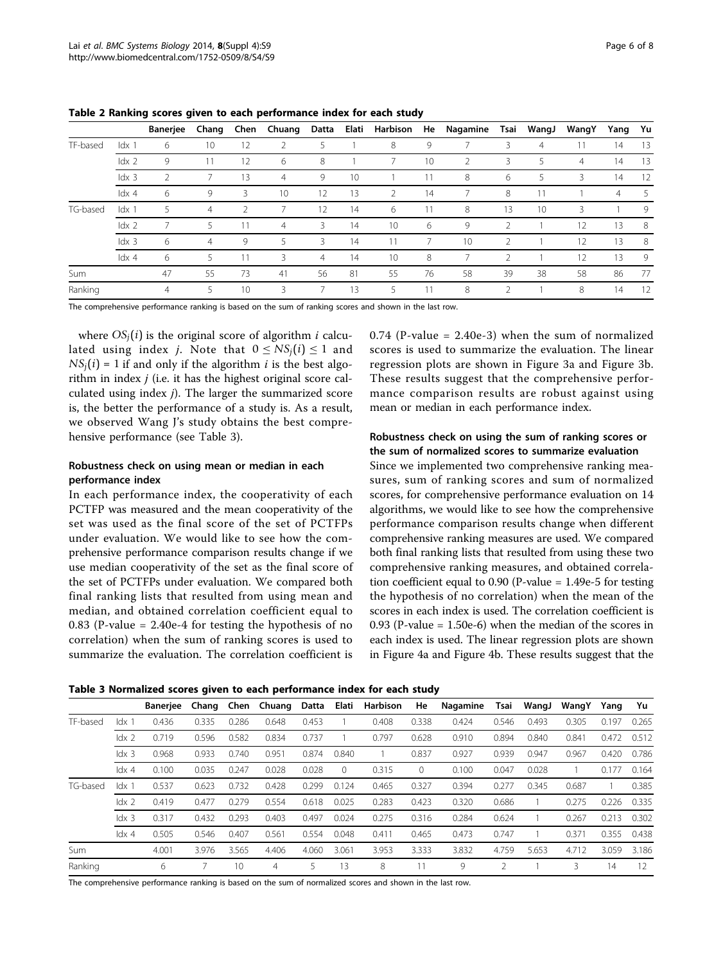|            |                  | <b>Banerjee</b> | Chang | Chen          | Chuang         | Datta          | Elati | Harbison        | He | Nagamine | Tsai           | WangJ | WangY          | Yang           | Yu |
|------------|------------------|-----------------|-------|---------------|----------------|----------------|-------|-----------------|----|----------|----------------|-------|----------------|----------------|----|
| TF-based   | $ldx$ 1          | 6               | 10    | 12            |                | 5              |       | 8               | 9  |          | 3              | 4     | 11             | 14             | 13 |
|            | ldx <sub>2</sub> | 9               | 11    | 12            | 6              | 8              |       |                 | 10 | 2        | 3              | 5     | $\overline{4}$ | 14             | 13 |
|            | ldx <sub>3</sub> |                 |       | 13            | $\overline{4}$ | 9              | 10    |                 | 11 | 8        | 6              | 5     | 3              | 14             | 12 |
|            | $ldx$ 4          | 6               | 9     | 3             | 10             | 12             | 13    | $\overline{2}$  | 14 |          | 8              | 11    |                | $\overline{4}$ | -5 |
| TG-based   | $ldx$ 1          | 5               | 4     | $\mathcal{P}$ |                | 12             | 14    | 6               | 11 | 8        | 13             | 10    | 3              |                | 9  |
|            | ldx <sub>2</sub> |                 | 5     | 11            | $\overline{4}$ | 3              | 14    | 10 <sup>°</sup> | 6  | 9        | $\mathfrak{D}$ |       | 12             | 13             | -8 |
|            | ldx <sub>3</sub> | 6               | 4     | 9             | 5              | 3              | 14    | 11              |    | 10       | 2              |       | 12             | 13             | -8 |
|            | $ldx$ 4          | 6               | 5     | 11            | 3              | $\overline{4}$ | 14    | 10              | 8  |          | 2              |       | 12             | 13             | 9  |
| <b>Sum</b> |                  | 47              | 55    | 73            | 41             | 56             | 81    | 55              | 76 | 58       | 39             | 38    | 58             | 86             | 77 |
| Ranking    |                  | $\overline{4}$  | 5     | 10            | 3              |                | 13    | 5               | 11 | 8        |                |       | 8              | 14             | 12 |

<span id="page-5-0"></span>Table 2 Ranking scores given to each performance index for each study

The comprehensive performance ranking is based on the sum of ranking scores and shown in the last row.

where  $OS_i(i)$  is the original score of algorithm *i* calculated using index *j*. Note that  $0 \leq NS_i(i) \leq 1$  and  $NS<sub>i</sub>(i) = 1$  if and only if the algorithm *i* is the best algorithm in index  $j$  (i.e. it has the highest original score calculated using index j). The larger the summarized score is, the better the performance of a study is. As a result, we observed Wang J's study obtains the best comprehensive performance (see Table 3).

## Robustness check on using mean or median in each performance index

In each performance index, the cooperativity of each PCTFP was measured and the mean cooperativity of the set was used as the final score of the set of PCTFPs under evaluation. We would like to see how the comprehensive performance comparison results change if we use median cooperativity of the set as the final score of the set of PCTFPs under evaluation. We compared both final ranking lists that resulted from using mean and median, and obtained correlation coefficient equal to 0.83 (P-value = 2.40e-4 for testing the hypothesis of no correlation) when the sum of ranking scores is used to summarize the evaluation. The correlation coefficient is  $0.74$  (P-value = 2.40e-3) when the sum of normalized scores is used to summarize the evaluation. The linear regression plots are shown in Figure [3a](#page-6-0) and Figure [3b](#page-6-0). These results suggest that the comprehensive performance comparison results are robust against using mean or median in each performance index.

# Robustness check on using the sum of ranking scores or the sum of normalized scores to summarize evaluation

Since we implemented two comprehensive ranking measures, sum of ranking scores and sum of normalized scores, for comprehensive performance evaluation on 14 algorithms, we would like to see how the comprehensive performance comparison results change when different comprehensive ranking measures are used. We compared both final ranking lists that resulted from using these two comprehensive ranking measures, and obtained correlation coefficient equal to 0.90 (P-value = 1.49e-5 for testing the hypothesis of no correlation) when the mean of the scores in each index is used. The correlation coefficient is 0.93 (P-value = 1.50e-6) when the median of the scores in each index is used. The linear regression plots are shown in Figure [4a](#page-6-0) and Figure [4b.](#page-6-0) These results suggest that the

Table 3 Normalized scores given to each performance index for each study

|          |                  | Banerjee | Chang | Chen  | Chuang | Datta | Elati    | Harbison | He    | Nagamine | Tsai  | WangJ | WangY | Yang      | Yu    |
|----------|------------------|----------|-------|-------|--------|-------|----------|----------|-------|----------|-------|-------|-------|-----------|-------|
| TF-based | $ldx$ 1          | 0.436    | 0.335 | 0.286 | 0.648  | 0.453 |          | 0.408    | 0.338 | 0.424    | 0.546 | 0.493 | 0.305 | 0.197     | 0.265 |
|          | $ldx$ 2          | 0.719    | 0.596 | 0.582 | 0.834  | 0.737 |          | 0.797    | 0.628 | 0.910    | 0.894 | 0.840 | 0.841 | 0.472     | 0.512 |
|          | $\mathsf{idx}$ 3 | 0.968    | 0.933 | 0.740 | 0.951  | 0.874 | 0.840    |          | 0.837 | 0.927    | 0.939 | 0.947 | 0.967 | 0.420     | 0.786 |
|          | $\text{ldx } 4$  | 0.100    | 0.035 | 0.247 | 0.028  | 0.028 | $\Omega$ | 0.315    | 0     | 0.100    | 0.047 | 0.028 |       | 77<br>0.1 | 0.164 |
| TG-based | $ldx$ 1          | 0.537    | 0.623 | 0.732 | 0.428  | 0.299 | 0.124    | 0.465    | 0.327 | 0.394    | 0.277 | 0.345 | 0.687 |           | 0.385 |
|          | $\frac{dx}{2}$   | 0.419    | 0.477 | 0.279 | 0.554  | 0.618 | 0.025    | 0.283    | 0.423 | 0.320    | 0.686 |       | 0.275 | 0.226     | 0.335 |
|          | ldx <sub>3</sub> | 0.317    | 0.432 | 0.293 | 0.403  | 0.497 | 0.024    | 0.275    | 0.316 | 0.284    | 0.624 |       | 0.267 | 0.213     | 0.302 |
|          | $\text{ldx } 4$  | 0.505    | 0.546 | 0.407 | 0.561  | 0.554 | 0.048    | 0.411    | 0.465 | 0.473    | 0.747 |       | 0.371 | 0.355     | 0.438 |
| Sum      |                  | 4.001    | 3.976 | 3.565 | 4.406  | 4.060 | 3.061    | 3.953    | 3.333 | 3.832    | 4.759 | 5.653 | 4.712 | 3.059     | 3.186 |
| Ranking  |                  | 6        |       | 10    | 4      | 5     | 13       | 8        |       | 9        | 2     |       | 3     | 14        | 12    |

The comprehensive performance ranking is based on the sum of normalized scores and shown in the last row.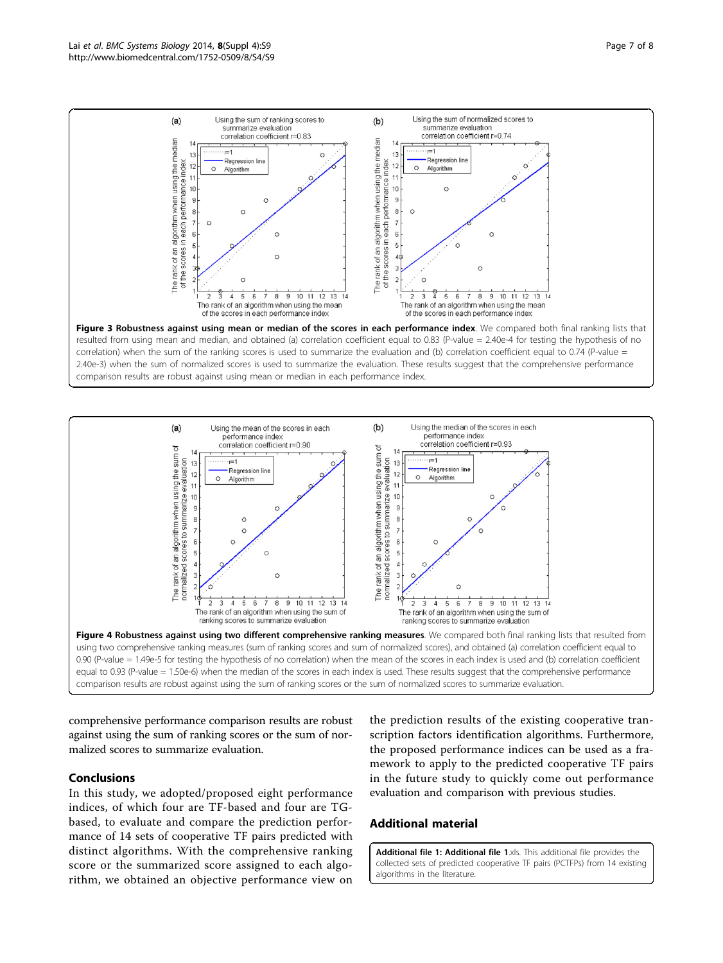<span id="page-6-0"></span>

correlation) when the sum of the ranking scores is used to summarize the evaluation and (b) correlation coefficient equal to 0.74 (P-value = 2.40e-3) when the sum of normalized scores is used to summarize the evaluation. These results suggest that the comprehensive performance comparison results are robust against using mean or median in each performance index.



comprehensive performance comparison results are robust against using the sum of ranking scores or the sum of normalized scores to summarize evaluation.

# Conclusions

In this study, we adopted/proposed eight performance indices, of which four are TF-based and four are TGbased, to evaluate and compare the prediction performance of 14 sets of cooperative TF pairs predicted with distinct algorithms. With the comprehensive ranking score or the summarized score assigned to each algorithm, we obtained an objective performance view on

the prediction results of the existing cooperative transcription factors identification algorithms. Furthermore, the proposed performance indices can be used as a framework to apply to the predicted cooperative TF pairs in the future study to quickly come out performance evaluation and comparison with previous studies.

#### Additional material

[Additional file 1: A](http://www.biomedcentral.com/content/supplementary/1752-0509-8-S4-S9-S1.xls)dditional file 1.xls. This additional file provides the collected sets of predicted cooperative TF pairs (PCTFPs) from 14 existing algorithms in the literature.